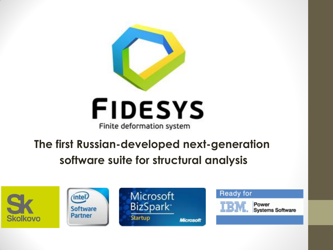

# **FIDESYS** Finite deformation system

# **The first Russian-developed next-generation software suite for structural analysis**

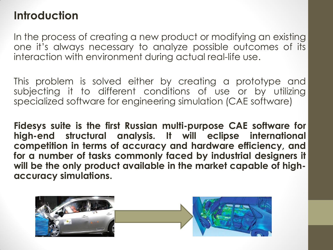### **Introduction**

In the process of creating a new product or modifying an existing one it's always necessary to analyze possible outcomes of its interaction with environment during actual real-life use.

This problem is solved either by creating a prototype and subjecting it to different conditions of use or by utilizing specialized software for engineering simulation (CAE software)

**Fidesys suite is the first Russian multi-purpose CAE software for high-end structural analysis. It will eclipse international competition in terms of accuracy and hardware efficiency, and for a number of tasks commonly faced by industrial designers it will be the only product available in the market capable of highaccuracy simulations.**

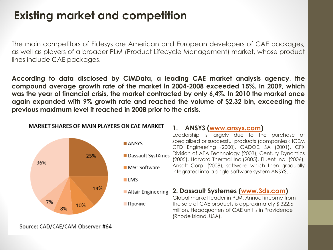## **Existing market and competition**

The main competitors of Fidesys are American and European developers of CAE packages, as well as players of a broader PLM (Product Lifecycle Management) market, whose product lines include CAE packages.

**According to data disclosed by CIMData, a leading CAE market analysis agency, the compound average growth rate of the market in 2004-2008 exceeded 15%. In 2009, which was the year of financial crisis, the market contracted by only 6,4%. In 2010 the market once again expanded with 9% growth rate and reached the volume of \$2,32 bln, exceeding the previous maximum level it reached in 2008 prior to the crisis.**



**MARKET SHARES OF MAIN PLAYERS ON CAE MARKET** 

#### **1. ANSYS ([www.ansys.com](http://www.ansys.com/))**

Leadership is largely due to the purchase of specialized or successful products (companies): ICEM CFD Engineering (2000), CADOE, SA (2001), CFX Division of AEA Technology (2003), Century Dynamics (2005), Harvard Thermal Inc.(2005), Fluent Inc. (2006), Ansoft Corp. (2008), software which then gradually integrated into a single software system ANSYS. .

**2. Dassault Systemes [\(www.3ds.com](http://www.3ds.com/))** Global market leader in PLM. Annual income from the sale of CAE products is approximately \$ 322.6 million. Headquarters of CAE unit is in Providence (Rhode Island, USA).

Source: CAD/CAE/CAM Observer #64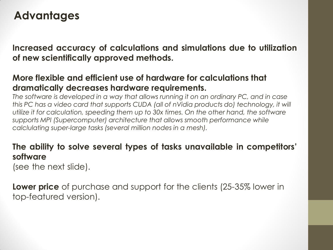### **Advantages**

**Increased accuracy of calculations and simulations due to utilization of new scientifically approved methods.**

### **More flexible and efficient use of hardware for calculations that dramatically decreases hardware requirements.**

*The software is developed in a way that allows running it on an ordinary PC, and in case this PC has a video card that supports CUDA (all of nVidia products do) technology, it will utilize it for calculation, speeding them up to 30x times. On the other hand, the software supports MPI (Supercomputer) architecture that allows smooth performance while calclulating super-large tasks (several million nodes in a mesh).* 

### **The ability to solve several types of tasks unavailable in competitors' software**

(see the next slide).

**Lower price** of purchase and support for the clients (25-35% lower in top-featured version).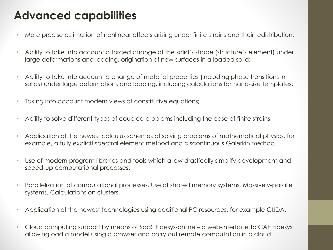## **Advanced capabilities**

- More precise estimation of nonlinear effects arising under finite strains and their redistribution;
- Ability to take into account a forced change of the solid's shape (structure's element) under large deformations and loading, origination of new surfaces in a loaded solid;
- Ability to take into account a change of material properties (including phase transitions in solids) under large deformations and loading, including calculations for nano-size templates;
- Taking into account modern views of constitutive equations;
- Ability to solve different types of coupled problems including the case of finite strains;
- Application of the newest calculus schemes of solving problems of mathematical physics, for example, a fully explicit spectral element method and discontinuous Galerkin method.
- Use of modern program libraries and tools which allow drastically simplify development and speed-up computational processes.
- Parallelization of computational processes. Use of shared memory systems. Massively-parallel systems. Calculations on clusters.
- Application of the newest technologies using additional PC resources, for example CUDA.
- Cloud computing support by means of SaaS Fidesys-online a web-interface to CAE Fidesys allowing oad a model using a browser and carry out remote computation in a cloud.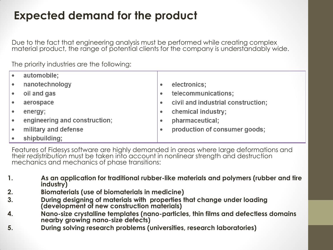## **Expected demand for the product**

Due to the fact that engineering analysis must be performed while creating complex material product, the range of potential clients for the company is understandably wide.

The priority industries are the following:

| $\bullet$ | automobile;                   |           |                                    |
|-----------|-------------------------------|-----------|------------------------------------|
| $\bullet$ | nanotechnology                | ٠         | electronics;                       |
|           | oil and gas                   | ٠         | telecommunications;                |
|           | aerospace                     | $\bullet$ | civil and industrial construction; |
|           | energy;                       | ٠         | chemical industry;                 |
| $\bullet$ | engineering and construction; | ٠         | pharmaceutical;                    |
|           | military and defense          | ٠         | production of consumer goods;      |
|           | shipbuilding;                 |           |                                    |

Features of Fidesys software are highly demanded in areas where large deformations and their *redistribution* must be taken into account in nonlinear strength and destruction mechanics and mechanics of phase transitions:

- **1. As an application for traditional rubber-like materials and polymers (rubber and tire industry)**
- **2. Biomaterials (use of biomaterials in medicine)**
- **3. During designing of materials with properties that change under loading (development of new construction materials)**
- **4. Nano-size crystalline templates (nano-particles, thin films and defectless domains nearby growing nano-size defects)**
- **5. During solving research problems (universities, research laboratories)**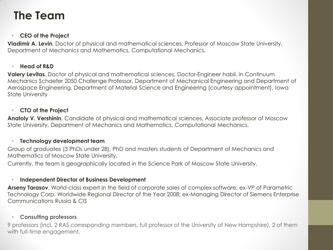### **The Team**

#### • **CEO of the Project**

**Vladimir A. Levin**, Doctor of physical and mathematical sciences, Professor of Moscow State University, Department of Mechanics and Mathematics, Computational Mechanics.

#### • **Head of R&D**

**Valery Levitas**, Doctor of physical and mathematical sciences, Doctor-Engineer habil. in Continuum Mechanics Schaefer 2050 Challenge Professor, Department of Mechanical Engineering and Department of Aerospace Engineering, Department of Material Science and Engineering (courtesy appointment), Iowa State University

#### • **CTO of the Project**

**Anatoly V. Vershinin**, Candidate of physical and mathematical sciences, Associate professor of Moscow State University, Department of Mechanics and Mathematics, Computational Mechanics.

#### • **Technology development team**

Group of graduates (3 PhDs under 28), PhD and masters students of Department of Mechanics and Mathematics of Moscow State University.

Currently, the team is geographically located in the Science Park of Moscow State University.

#### • **Independent Director of Business Development**

**Arseny Tarasov**, World-class expert in the field of corporate sales of complex software; ex-VP of Parametric Technology Corp, Worldwide Regional Director of the Year 2008; ex-Managing Director of Siemens Enterprise Communications Russia & CIS

#### • **Consulting professors**

9 professors (incl. 2 RAS corresponding members, full professor of the University of New Hampshire), 2 of them with full-time engagement.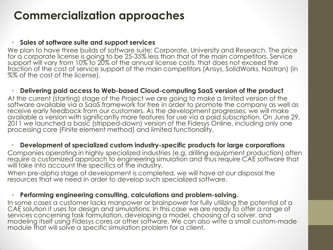### **Commercialization approaches**

#### • **Sales of software suite and support services**

We plan to have three builds of software suite: Corporate, University and Research. The price for a corporate license is going to be 25-35% less than that of the main competitors. Service support will vary from 10% to 20% of the annual license costs, that does not exceed the fraction of the cost of service support of the main competitors (Ansys, SolidWorks, Nastran) (in %% of the cost of the license).

#### • **Delivering paid access to Web-based Cloud-computing SaaS version of the product**

At the current (starting) stage of the Project we are going to make a limited version of the software available via a SaaS framework for free in order to promote the company as well as receive early feedback from our customers. As the development progresses, we will make available a version with significantly more features for use via a paid subscription. On June 29, 2011 we launched a basic (stripped-down) version of the Fidesys Online, including only one processing core (Finite element method) and limited functionality.

#### • **Development of specialized custom industry-specific products for large corporations**

Companies operating in highly specialized industries (e.g. drilling equipment production) often require a customized approach to engineering simulation and thus require CAE software that will take into account the specifics of the industry.

When pre-alpha stage of development is completed, we will have at our disposal the resources that we need in order to develop such specialized software.

#### • **Performing engineering consulting, calculations and problem-solving.**

In some cases a customer lacks manpower or brainpower for fully utilizing the potential of a CAE solution it uses for design and simulations. In this case we are ready to offer a range of services concerning task formulation, developing a model, choosing of a solver, and modeling itself using Fidesys cores or other software. We can also write a small custom-made module that will solve a specific simulation problem for a client.